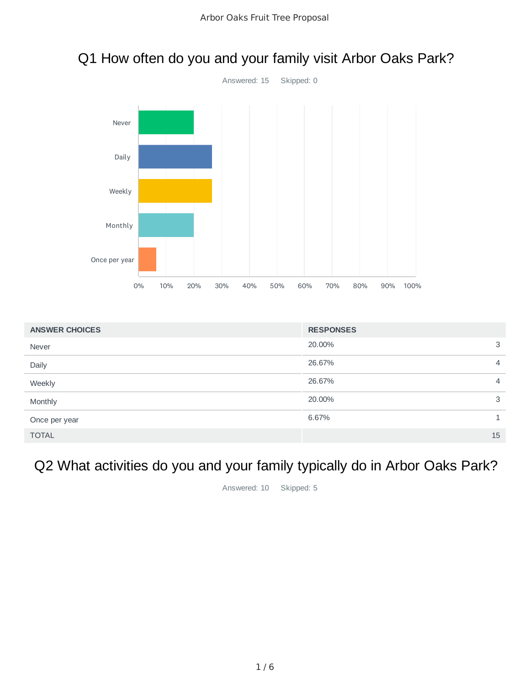

### Q1 How often do you and your family visit Arbor Oaks Park?

| <b>ANSWER CHOICES</b> | <b>RESPONSES</b> |                |
|-----------------------|------------------|----------------|
| Never                 | 20.00%           | 3              |
| Daily                 | 26.67%           | $\overline{4}$ |
| Weekly                | 26.67%           | $\overline{4}$ |
| Monthly               | 20.00%           | 3              |
| Once per year         | 6.67%            |                |
| <b>TOTAL</b>          |                  | 15             |

# Q2 What activities do you and your family typically do in Arbor Oaks Park?

Answered: 10 Skipped: 5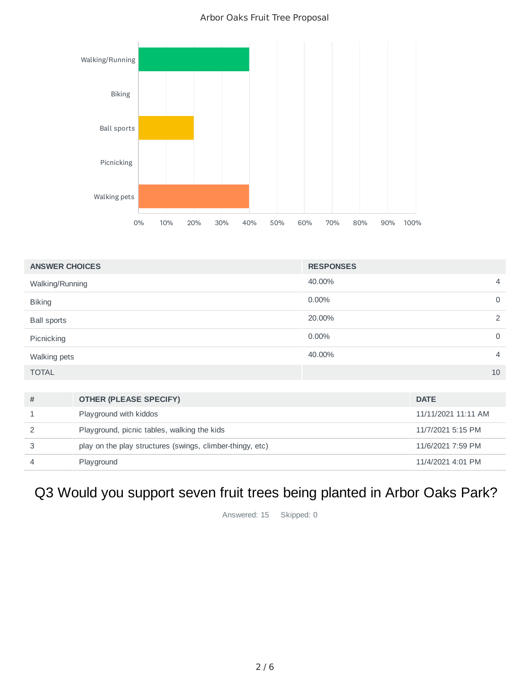#### Arbor Oaks Fruit Tree Proposal



| <b>ANSWER CHOICES</b> | <b>RESPONSES</b> |                |
|-----------------------|------------------|----------------|
| Walking/Running       | 40.00%           | 4              |
| <b>Biking</b>         | 0.00%            | $\mathbf 0$    |
| <b>Ball sports</b>    | 20.00%           | 2              |
| Picnicking            | 0.00%            | $\mathbf 0$    |
| Walking pets          | 40.00%           | $\overline{4}$ |
| <b>TOTAL</b>          |                  | 10             |
|                       |                  |                |

| # | <b>OTHER (PLEASE SPECIFY)</b>                             | <b>DATE</b>         |
|---|-----------------------------------------------------------|---------------------|
|   | Playground with kiddos                                    | 11/11/2021 11:11 AM |
|   | Playground, picnic tables, walking the kids               | 11/7/2021 5:15 PM   |
| 3 | play on the play structures (swings, climber-thingy, etc) | 11/6/2021 7:59 PM   |
|   | Playground                                                | 11/4/2021 4:01 PM   |

# Q3 Would you support seven fruit trees being planted in Arbor Oaks Park?

Answered: 15 Skipped: 0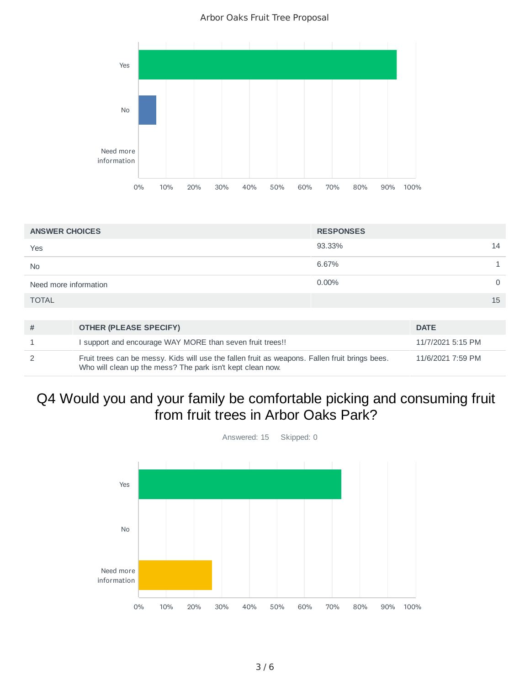Arbor Oaks Fruit Tree Proposal



| <b>ANSWER CHOICES</b> |                                                                                                                                                              | <b>RESPONSES</b> |                   |
|-----------------------|--------------------------------------------------------------------------------------------------------------------------------------------------------------|------------------|-------------------|
| Yes                   |                                                                                                                                                              | 93.33%           | 14                |
| <b>No</b>             |                                                                                                                                                              | 6.67%            |                   |
| Need more information |                                                                                                                                                              | $0.00\%$         | $\Omega$          |
| <b>TOTAL</b>          |                                                                                                                                                              |                  | 15                |
|                       |                                                                                                                                                              |                  |                   |
| #                     | <b>OTHER (PLEASE SPECIFY)</b>                                                                                                                                |                  | <b>DATE</b>       |
|                       | support and encourage WAY MORE than seven fruit trees!!                                                                                                      |                  | 11/7/2021 5:15 PM |
| $\mathcal{P}$         | Fruit trees can be messy. Kids will use the fallen fruit as weapons. Fallen fruit brings bees.<br>Who will clean up the mess? The park isn't kept clean now. |                  | 11/6/2021 7:59 PM |

### Q4 Would you and your family be comfortable picking and consuming fruit from fruit trees in Arbor Oaks Park?



Answered: 15 Skipped: 0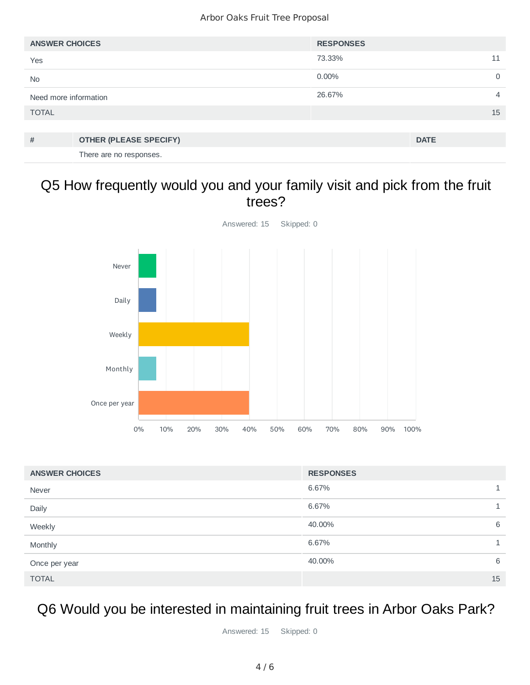| <b>ANSWER CHOICES</b> |                               | <b>RESPONSES</b> |             |   |
|-----------------------|-------------------------------|------------------|-------------|---|
| Yes                   |                               | 73.33%           |             |   |
| <b>No</b>             |                               | $0.00\%$         |             | 0 |
| Need more information |                               | 26.67%           |             | 4 |
| <b>TOTAL</b>          |                               |                  | 15          |   |
|                       |                               |                  |             |   |
| #                     | <b>OTHER (PLEASE SPECIFY)</b> |                  | <b>DATE</b> |   |
|                       | There are no responses.       |                  |             |   |

#### Q5 How frequently would you and your family visit and pick from the fruit trees?



| <b>ANSWER CHOICES</b> | <b>RESPONSES</b> |   |
|-----------------------|------------------|---|
| Never                 | 6.67%            |   |
| Daily                 | 6.67%            |   |
| Weekly                | 40.00%           | 6 |
| Monthly               | 6.67%            |   |
| Once per year         | 40.00%           | 6 |
| <b>TOTAL</b>          | 15               |   |

### Q6 Would you be interested in maintaining fruit trees in Arbor Oaks Park?

Answered: 15 Skipped: 0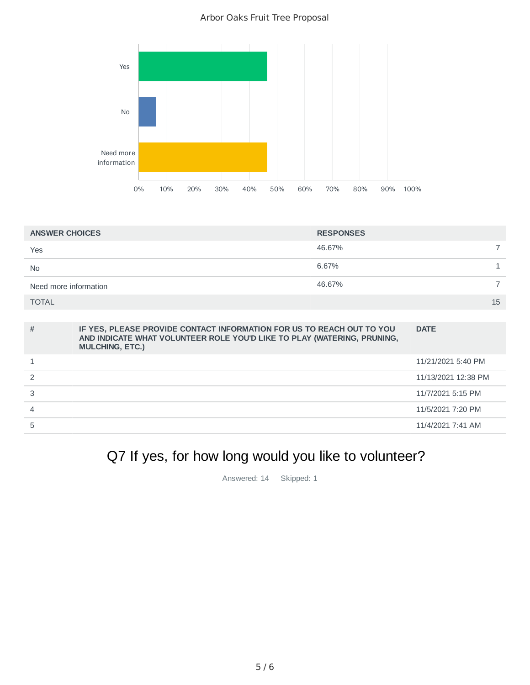#### Arbor Oaks Fruit Tree Proposal



| <b>ANSWER CHOICES</b> | <b>RESPONSES</b> |
|-----------------------|------------------|
| Yes                   | 46.67%           |
| <b>No</b>             | 6.67%            |
| Need more information | 46.67%           |
| <b>TOTAL</b>          | 15               |

| # | IF YES, PLEASE PROVIDE CONTACT INFORMATION FOR US TO REACH OUT TO YOU<br>AND INDICATE WHAT VOLUNTEER ROLE YOU'D LIKE TO PLAY (WATERING, PRUNING,<br><b>MULCHING, ETC.)</b> | <b>DATE</b>         |
|---|----------------------------------------------------------------------------------------------------------------------------------------------------------------------------|---------------------|
|   |                                                                                                                                                                            | 11/21/2021 5:40 PM  |
|   |                                                                                                                                                                            | 11/13/2021 12:38 PM |
|   |                                                                                                                                                                            | 11/7/2021 5:15 PM   |
| 4 |                                                                                                                                                                            | 11/5/2021 7:20 PM   |
| 5 |                                                                                                                                                                            | 11/4/2021 7:41 AM   |

# Q7 If yes, for how long would you like to volunteer?

Answered: 14 Skipped: 1